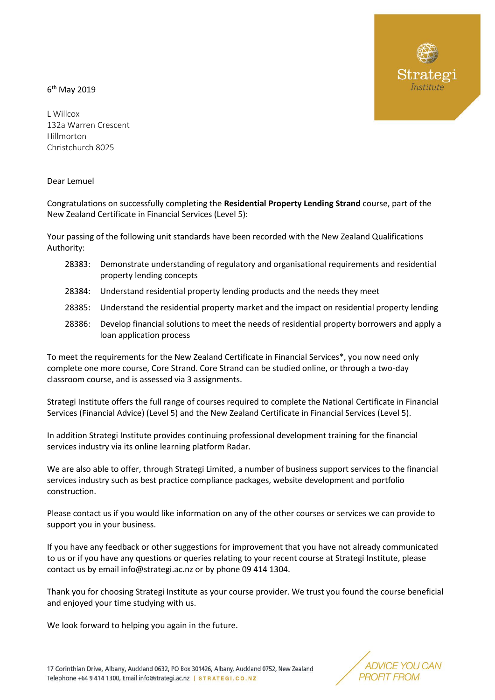## 6 th May 2019

L Willcox 132a Warren Crescent Hillmorton Christchurch 8025

Dear Lemuel

Congratulations on successfully completing the **Residential Property Lending Strand** course, part of the New Zealand Certificate in Financial Services (Level 5):

Your passing of the following unit standards have been recorded with the New Zealand Qualifications Authority:

- 28383: Demonstrate understanding of regulatory and organisational requirements and residential property lending concepts
- 28384: Understand residential property lending products and the needs they meet
- 28385: Understand the residential property market and the impact on residential property lending
- 28386: Develop financial solutions to meet the needs of residential property borrowers and apply a loan application process

To meet the requirements for the New Zealand Certificate in Financial Services\*, you now need only complete one more course, Core Strand. Core Strand can be studied online, or through a two-day classroom course, and is assessed via 3 assignments.

Strategi Institute offers the full range of courses required to complete the National Certificate in Financial Services (Financial Advice) (Level 5) and the New Zealand Certificate in Financial Services (Level 5).

In addition Strategi Institute provides continuing professional development training for the financial services industry via its online learning platform Radar.

We are also able to offer, through Strategi Limited, a number of business support services to the financial services industry such as best practice compliance packages, website development and portfolio construction.

Please contact us if you would like information on any of the other courses or services we can provide to support you in your business.

If you have any feedback or other suggestions for improvement that you have not already communicated to us or if you have any questions or queries relating to your recent course at Strategi Institute, please contact us by email info@strategi.ac.nz or by phone 09 414 1304.

Thank you for choosing Strategi Institute as your course provider. We trust you found the course beneficial and enjoyed your time studying with us.

We look forward to helping you again in the future.